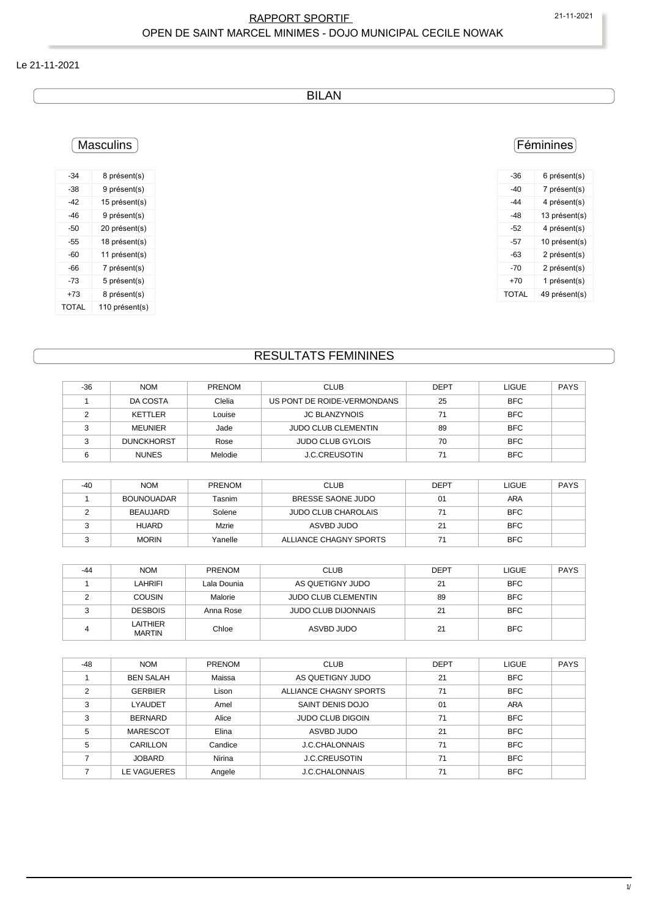#### RAPPORT SPORTIF 21-11-2021 OPEN DE SAINT MARCEL MINIMES - DOJO MUNICIPAL CECILE NOWAK

#### Le 21-11-2021

BILAN

### **Masculins**

| -34   | 8 présent(s)   |
|-------|----------------|
| -38   | 9 présent(s)   |
| -42   | 15 présent(s)  |
| -46   | 9 présent(s)   |
| -50   | 20 présent(s)  |
| -55   | 18 présent(s)  |
| -60   | 11 présent(s)  |
| -66   | 7 présent(s)   |
| -73   | 5 présent(s)   |
| +73   | 8 présent(s)   |
| TOTAL | 110 présent(s) |

### Féminines

| -36   | 6 présent(s)  |
|-------|---------------|
| -40   | 7 présent(s)  |
| -44   | 4 présent(s)  |
| -48   | 13 présent(s) |
| -52   | 4 présent(s)  |
| -57   | 10 présent(s) |
| -63   | 2 présent(s)  |
| -70   | 2 présent(s)  |
| +70   | 1 présent(s)  |
| TOTAL | 49 présent(s) |
|       |               |

## RESULTATS FEMININES

| $-36$          | <b>NOM</b>        | PRENOM       | <b>CLUB</b>                 | <b>DEPT</b> | <b>LIGUE</b> | <b>PAYS</b> |
|----------------|-------------------|--------------|-----------------------------|-------------|--------------|-------------|
|                | DA COSTA          | Clelia       | US PONT DE ROIDE-VERMONDANS | 25          | <b>BFC</b>   |             |
| 2              | <b>KETTLER</b>    | Louise       | <b>JC BLANZYNOIS</b>        | 71          | <b>BFC</b>   |             |
| 3              | <b>MEUNIER</b>    | Jade         | <b>JUDO CLUB CLEMENTIN</b>  | 89          | <b>BFC</b>   |             |
| 3              | <b>DUNCKHORST</b> | Rose         | <b>JUDO CLUB GYLOIS</b>     | 70          | <b>BFC</b>   |             |
| 6              | <b>NUNES</b>      | Melodie      | <b>J.C.CREUSOTIN</b>        | 71          | <b>BFC</b>   |             |
|                |                   |              |                             |             |              |             |
| $-40$          | <b>NOM</b>        | PRENOM       | <b>CLUB</b>                 | <b>DEPT</b> | <b>LIGUE</b> | <b>PAYS</b> |
|                | <b>BOUNOUADAR</b> | Tasnim       | BRESSE SAONE JUDO           | 01          | <b>ARA</b>   |             |
| $\mathfrak{p}$ | <b>BEAUJARD</b>   | Solene       | <b>JUDO CLUB CHAROLAIS</b>  | 71          | <b>BFC</b>   |             |
| 3              | <b>HUARD</b>      | <b>Mzrie</b> | ASVBD JUDO                  | 21          | <b>BFC</b>   |             |

| $-44$ | <b>NOM</b>                | <b>PRENOM</b> | <b>CLUB</b>                | <b>DEPT</b> | LIGUE      | <b>PAYS</b> |
|-------|---------------------------|---------------|----------------------------|-------------|------------|-------------|
|       | LAHRIFI                   | Lala Dounia   | AS QUETIGNY JUDO           | 21          | <b>BFC</b> |             |
|       | <b>COUSIN</b>             | Malorie       | <b>JUDO CLUB CLEMENTIN</b> | 89          | <b>BFC</b> |             |
|       | <b>DESBOIS</b>            | Anna Rose     | <b>JUDO CLUB DIJONNAIS</b> | 21          | <b>BFC</b> |             |
|       | LAITHIER<br><b>MARTIN</b> | Chloe         | ASVBD JUDO                 | 21          | <b>BFC</b> |             |

3 MORIN Yanelle ALLIANCE CHAGNY SPORTS 71 BFC

| $-48$ | <b>NOM</b>       | <b>PRENOM</b> | <b>CLUB</b>             | <b>DEPT</b> | <b>LIGUE</b> | <b>PAYS</b> |
|-------|------------------|---------------|-------------------------|-------------|--------------|-------------|
|       | <b>BEN SALAH</b> | Maissa        | AS QUETIGNY JUDO        | 21          | <b>BFC</b>   |             |
| C     | <b>GERBIER</b>   | Lison         | ALLIANCE CHAGNY SPORTS  | 71          | <b>BFC</b>   |             |
| 3     | <b>LYAUDET</b>   | Amel          | SAINT DENIS DOJO        | 01          | <b>ARA</b>   |             |
| 3     | <b>BERNARD</b>   | Alice         | <b>JUDO CLUB DIGOIN</b> | 71          | <b>BFC</b>   |             |
| 5     | MARESCOT         | Elina         | ASVBD JUDO              | 21          | <b>BFC</b>   |             |
| 5     | CARILLON         | Candice       | <b>J.C.CHALONNAIS</b>   | 71          | <b>BFC</b>   |             |
|       | <b>JOBARD</b>    | Nirina        | <b>J.C.CREUSOTIN</b>    | 71          | <b>BFC</b>   |             |
|       | LE VAGUERES      | Angele        | <b>J.C.CHALONNAIS</b>   | 71          | <b>BFC</b>   |             |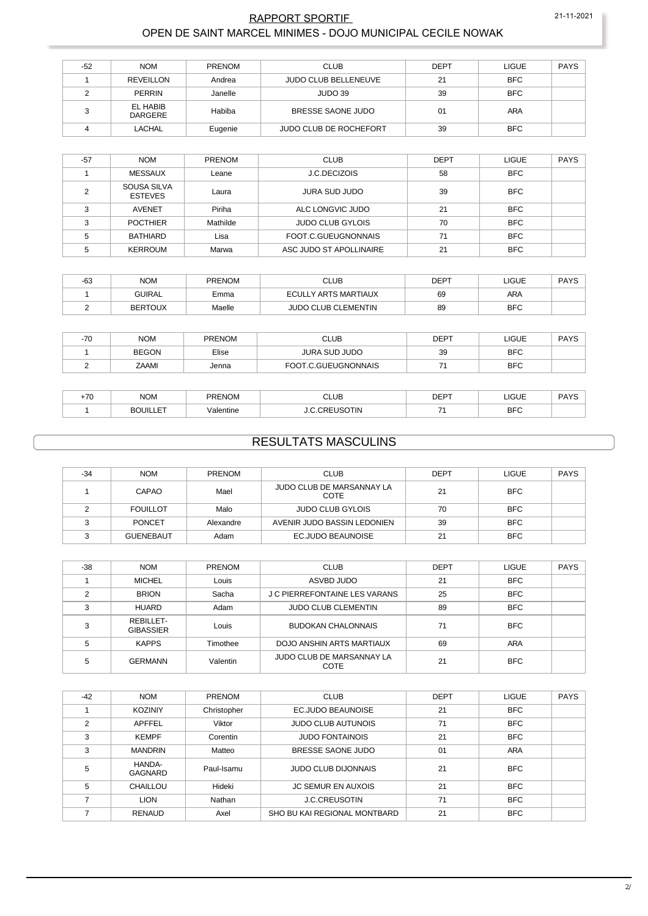#### RAPPORT SPORTIF 21-11-2021 OPEN DE SAINT MARCEL MINIMES - DOJO MUNICIPAL CECILE NOWAK

| $-52$ | <b>NOM</b>          | <b>PRENOM</b> | <b>CLUB</b>            | <b>DEPT</b> | LIGUE      | <b>PAYS</b> |
|-------|---------------------|---------------|------------------------|-------------|------------|-------------|
|       | REVEILLON           | Andrea        | JUDO CLUB BELLENEUVE   | 21          | <b>BFC</b> |             |
|       | <b>PERRIN</b>       | Janelle       | JUDO 39                | 39          | <b>BFC</b> |             |
|       | EL HABIB<br>DARGERE | Habiba        | BRESSE SAONE JUDO      | 01          | ARA        |             |
|       | LACHAL              | Eugenie       | JUDO CLUB DE ROCHEFORT | 39          | <b>BFC</b> |             |

| $-57$ | <b>NOM</b>                    | <b>PRENOM</b> | <b>CLUB</b>             | <b>DEPT</b> | <b>LIGUE</b> | <b>PAYS</b> |
|-------|-------------------------------|---------------|-------------------------|-------------|--------------|-------------|
|       | MESSAUX                       | Leane         | <b>J.C.DECIZOIS</b>     | 58          | <b>BFC</b>   |             |
|       | SOUSA SILVA<br><b>ESTEVES</b> | Laura         | <b>JURA SUD JUDO</b>    | 39          | <b>BFC</b>   |             |
| ົ     | <b>AVENET</b>                 | Piriha        | ALC LONGVIC JUDO        | 21          | <b>BFC</b>   |             |
| ົ     | <b>POCTHIER</b>               | Mathilde      | <b>JUDO CLUB GYLOIS</b> | 70          | <b>BFC</b>   |             |
| 5     | BATHIARD                      | Lisa          | FOOT C GUEUGNONNAIS     | 71          | <b>BFC</b>   |             |
|       | <b>KERROUM</b>                | Marwa         | ASC JUDO ST APOLLINAIRE | 21          | <b>BFC</b>   |             |

| $-63$ | <b>NOM</b>    | <b>PRENOM</b> | CLUB                       | DEPT | _IGUE      | <b>PAYS</b> |
|-------|---------------|---------------|----------------------------|------|------------|-------------|
|       | <b>GUIRAL</b> | Emma          | ECULLY ARTS MARTIAUX       | 69   | ARA        |             |
|       | BERTOUX       | Maelle        | <b>JUDO CLUB CLEMENTIN</b> | 89   | <b>BFC</b> |             |

| $-70$ | <b>NOM</b>   | <b>PRENOM</b> | <b>CLUB</b>         | DEPT | LIGUE      | <b>PAYS</b> |
|-------|--------------|---------------|---------------------|------|------------|-------------|
|       | <b>BEGON</b> | Elise         | JURA SUD JUDO       | 39   | <b>BFC</b> |             |
|       | ZAAMI        | Jenna         | FOOT.C.GUEUGNONNAIS |      | <b>BFC</b> |             |

| 70 | <b>NOM</b> | <b>PRENOM</b> | <b>CLUB</b>                           | <b>DEDT</b><br>ᄕ | LIGUE      | DAYC<br><b>AI</b> |
|----|------------|---------------|---------------------------------------|------------------|------------|-------------------|
|    | ---<br>___ | /alentine     | <b>OTIN</b><br>$\overline{16}$<br>--- | -                | <b>BFC</b> |                   |

### RESULTATS MASCULINS

| $-34$ | <b>NOM</b>       | <b>PRENOM</b> | <b>CLUB</b>                       | <b>DEPT</b> | <b>LIGUE</b> | <b>PAYS</b> |
|-------|------------------|---------------|-----------------------------------|-------------|--------------|-------------|
|       | CAPAO            | Mael          | JUDO CLUB DE MARSANNAY LA<br>COTE | 21          | <b>BFC</b>   |             |
|       | <b>FOUILLOT</b>  | Malo          | <b>JUDO CLUB GYLOIS</b>           | 70          | <b>BFC</b>   |             |
|       | <b>PONCET</b>    | Alexandre     | AVENIR JUDO BASSIN LEDONIEN       | 39          | <b>BFC</b>   |             |
|       | <b>GUENEBAUT</b> | Adam          | EC.JUDO BEAUNOISE                 | 21          | <b>BFC</b>   |             |

| $-38$ | <b>NOM</b>                    | <b>PRENOM</b> | <b>CLUB</b>                          | <b>DEPT</b> | <b>LIGUE</b> | <b>PAYS</b> |
|-------|-------------------------------|---------------|--------------------------------------|-------------|--------------|-------------|
|       | <b>MICHEL</b>                 | Louis         | ASVBD JUDO                           | 21          | <b>BFC</b>   |             |
| ◠     | <b>BRION</b>                  | Sacha         | <b>J C PIERREFONTAINE LES VARANS</b> | 25          | <b>BFC</b>   |             |
| ∘     | <b>HUARD</b>                  | Adam          | <b>JUDO CLUB CLEMENTIN</b>           | 89          | <b>BFC</b>   |             |
| ົ     | REBILLET-<br><b>GIBASSIER</b> | Louis         | <b>BUDOKAN CHALONNAIS</b>            | 71          | <b>BFC</b>   |             |
|       | <b>KAPPS</b>                  | Timothee      | DOJO ANSHIN ARTS MARTIAUX            | 69          | <b>ARA</b>   |             |
| 5     | <b>GERMANN</b>                | Valentin      | JUDO CLUB DE MARSANNAY LA<br>COTE    | 21          | <b>BFC</b>   |             |

| $-42$ | <b>NOM</b>        | PRENOM      | <b>CLUB</b>                  | <b>DEPT</b> | <b>LIGUE</b> | <b>PAYS</b> |
|-------|-------------------|-------------|------------------------------|-------------|--------------|-------------|
|       | <b>KOZINIY</b>    | Christopher | <b>EC.JUDO BEAUNOISE</b>     | 21          | <b>BFC</b>   |             |
| 2     | <b>APFFEL</b>     | Viktor      | <b>JUDO CLUB AUTUNOIS</b>    | 71          | <b>BFC</b>   |             |
| 3     | <b>KEMPF</b>      | Corentin    | <b>JUDO FONTAINOIS</b>       | 21          | <b>BFC</b>   |             |
| 3     | <b>MANDRIN</b>    | Matteo      | BRESSE SAONE JUDO            | 01          | <b>ARA</b>   |             |
| 5     | HANDA-<br>GAGNARD | Paul-Isamu  | <b>JUDO CLUB DIJONNAIS</b>   | 21          | <b>BFC</b>   |             |
| 5     | CHAILLOU          | Hideki      | <b>JC SEMUR EN AUXOIS</b>    | 21          | <b>BFC</b>   |             |
|       | <b>LION</b>       | Nathan      | <b>J.C.CREUSOTIN</b>         | 71          | <b>BFC</b>   |             |
|       | <b>RENAUD</b>     | Axel        | SHO BU KAI REGIONAL MONTBARD | 21          | <b>BFC</b>   |             |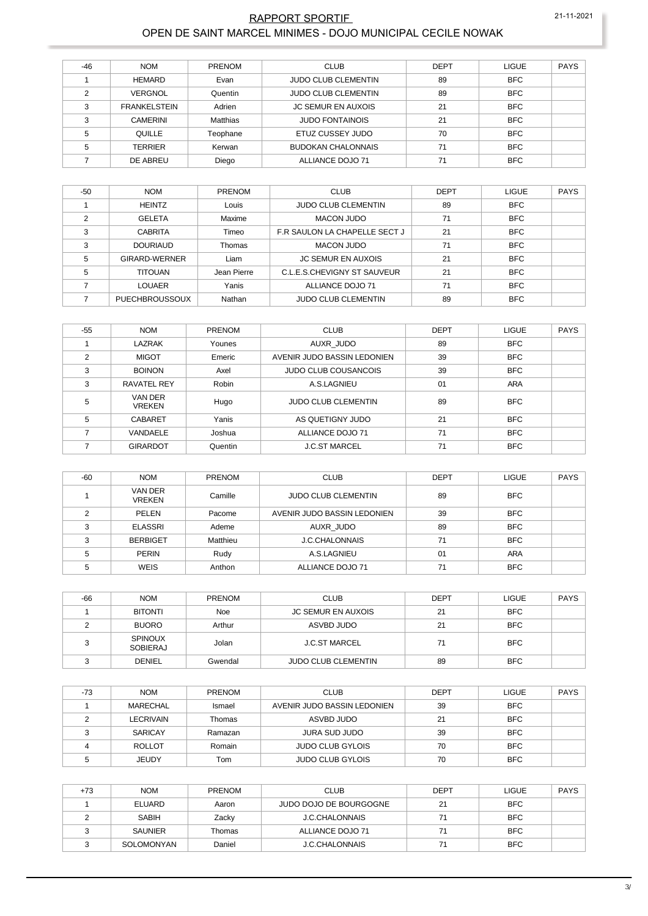# OPEN DE SAINT MARCEL MINIMES - DOJO MUNICIPAL CECILE NOWAK

| $-46$ | <b>NOM</b>          | <b>PRENOM</b> | <b>CLUB</b>                | <b>DEPT</b> | <b>LIGUE</b> | <b>PAYS</b> |
|-------|---------------------|---------------|----------------------------|-------------|--------------|-------------|
|       | <b>HEMARD</b>       | Evan          | <b>JUDO CLUB CLEMENTIN</b> | 89          | <b>BFC</b>   |             |
| C     | VERGNOL             | Quentin       | <b>JUDO CLUB CLEMENTIN</b> | 89          | <b>BFC</b>   |             |
| C     | <b>FRANKELSTEIN</b> | Adrien        | <b>JC SEMUR EN AUXOIS</b>  | 21          | <b>BFC</b>   |             |
| 3     | <b>CAMERINI</b>     | Matthias      | <b>JUDO FONTAINOIS</b>     | 21          | <b>BFC</b>   |             |
| 5     | QUILLE              | Teophane      | ETUZ CUSSEY JUDO           | 70          | <b>BFC</b>   |             |
| 5     | <b>TERRIER</b>      | Kerwan        | <b>BUDOKAN CHALONNAIS</b>  | 71          | <b>BFC</b>   |             |
|       | DE ABREU            | Diego         | ALLIANCE DOJO 71           | 71          | <b>BFC</b>   |             |

| $-50$ | <b>NOM</b>      | <b>PRENOM</b> | <b>CLUB</b>                   | <b>DEPT</b> | <b>LIGUE</b> | <b>PAYS</b> |
|-------|-----------------|---------------|-------------------------------|-------------|--------------|-------------|
|       | <b>HEINTZ</b>   | Louis         | <b>JUDO CLUB CLEMENTIN</b>    | 89          | <b>BFC</b>   |             |
|       | <b>GELETA</b>   | Maxime        | MACON JUDO                    | 71          | <b>BFC</b>   |             |
|       | <b>CABRITA</b>  | Timeo         | F.R SAULON LA CHAPELLE SECT J | 21          | <b>BFC</b>   |             |
|       | <b>DOURIAUD</b> | Thomas        | MACON JUDO                    | 71          | <b>BFC</b>   |             |
| 5     | GIRARD-WERNER   | Liam          | <b>JC SEMUR EN AUXOIS</b>     | 21          | <b>BFC</b>   |             |
| 5     | <b>TITOUAN</b>  | Jean Pierre   | C.L.E.S.CHEVIGNY ST SAUVEUR   | 21          | <b>BFC</b>   |             |
|       | LOUAER          | Yanis         | ALLIANCE DOJO 71              | 71          | <b>BFC</b>   |             |
|       | PUECHBROUSSOUX  | Nathan        | <b>JUDO CLUB CLEMENTIN</b>    | 89          | <b>BFC</b>   |             |

|                         |                            |               | <b>RAPPORT SPORTIF</b>                                     |             |              | 21-11-2021  |
|-------------------------|----------------------------|---------------|------------------------------------------------------------|-------------|--------------|-------------|
|                         |                            |               | OPEN DE SAINT MARCEL MINIMES - DOJO MUNICIPAL CECILE NOWAK |             |              |             |
|                         |                            |               |                                                            |             |              |             |
| $-46$                   | <b>NOM</b>                 | <b>PRENOM</b> | <b>CLUB</b>                                                | <b>DEPT</b> | <b>LIGUE</b> | <b>PAYS</b> |
| $\mathbf{1}$            | <b>HEMARD</b>              | Evan          | <b>JUDO CLUB CLEMENTIN</b>                                 | 89          | <b>BFC</b>   |             |
| $\overline{\mathbf{c}}$ | <b>VERGNOL</b>             | Quentin       | JUDO CLUB CLEMENTIN                                        | 89          | <b>BFC</b>   |             |
| 3                       | <b>FRANKELSTEIN</b>        | Adrien        | <b>JC SEMUR EN AUXOIS</b>                                  | 21          | <b>BFC</b>   |             |
| 3                       | <b>CAMERINI</b>            | Matthias      | <b>JUDO FONTAINOIS</b>                                     | 21          | <b>BFC</b>   |             |
| 5                       | QUILLE                     | Teophane      | ETUZ CUSSEY JUDO                                           | 70          | <b>BFC</b>   |             |
| 5                       | <b>TERRIER</b>             | Kerwan        | <b>BUDOKAN CHALONNAIS</b>                                  | 71          | <b>BFC</b>   |             |
| $\overline{7}$          | DE ABREU                   | Diego         | ALLIANCE DOJO 71                                           | 71          | <b>BFC</b>   |             |
| $-50$                   | <b>NOM</b>                 | <b>PRENOM</b> | <b>CLUB</b>                                                | <b>DEPT</b> | <b>LIGUE</b> | <b>PAYS</b> |
| $\mathbf{1}$            | <b>HEINTZ</b>              | Louis         | JUDO CLUB CLEMENTIN                                        | 89          | <b>BFC</b>   |             |
| $\overline{2}$          | <b>GELETA</b>              | Maxime        | <b>MACON JUDO</b>                                          | 71          | <b>BFC</b>   |             |
| 3                       | <b>CABRITA</b>             | Timeo         | F.R SAULON LA CHAPELLE SECT J                              | 21          | <b>BFC</b>   |             |
| 3                       | <b>DOURIAUD</b>            | Thomas        | <b>MACON JUDO</b>                                          | 71          | <b>BFC</b>   |             |
| 5                       | GIRARD-WERNER              | Liam          | <b>JC SEMUR EN AUXOIS</b>                                  | 21          | <b>BFC</b>   |             |
| 5                       | <b>TITOUAN</b>             | Jean Pierre   | C.L.E.S.CHEVIGNY ST SAUVEUR                                | 21          | <b>BFC</b>   |             |
| $\overline{7}$          | <b>LOUAER</b>              | Yanis         | <b>ALLIANCE DOJO 71</b>                                    | 71          | <b>BFC</b>   |             |
| $\overline{7}$          | <b>PUECHBROUSSOUX</b>      | Nathan        | <b>JUDO CLUB CLEMENTIN</b>                                 | 89          | <b>BFC</b>   |             |
|                         |                            |               |                                                            |             |              |             |
| $-55$                   | <b>NOM</b>                 | <b>PRENOM</b> | <b>CLUB</b>                                                | <b>DEPT</b> | <b>LIGUE</b> | <b>PAYS</b> |
| $\mathbf{1}$            | <b>LAZRAK</b>              | Younes        | AUXR_JUDO                                                  | 89          | <b>BFC</b>   |             |
| 2                       | <b>MIGOT</b>               | Emeric        | AVENIR JUDO BASSIN LEDONIEN                                | 39          | <b>BFC</b>   |             |
| 3                       | <b>BOINON</b>              | Axel          | <b>JUDO CLUB COUSANCOIS</b>                                | 39          | <b>BFC</b>   |             |
| 3                       | RAVATEL REY                | Robin         | A.S.LAGNIEU                                                | 01          | ARA          |             |
| 5                       | VAN DER<br><b>VREKEN</b>   | Hugo          | JUDO CLUB CLEMENTIN                                        | 89          | BFC          |             |
| 5                       | <b>CABARET</b>             | Yanis         | AS QUETIGNY JUDO                                           | 21          | BFC          |             |
| 7                       | VANDAELE                   | Joshua        | ALLIANCE DOJO 71                                           | 71          | <b>BFC</b>   |             |
| $\overline{7}$          | <b>GIRARDOT</b>            | Quentin       | <b>J.C.ST MARCEL</b>                                       | 71          | <b>BFC</b>   |             |
|                         |                            |               |                                                            |             |              |             |
| -60                     | <b>NOM</b>                 | <b>PRENOM</b> | <b>CLUB</b>                                                | <b>DEPT</b> | LIGUE        | <b>PAYS</b> |
| $\mathbf{1}$            | VAN DER<br><b>VREKEN</b>   | Camille       | JUDO CLUB CLEMENTIN                                        | 89          | <b>BFC</b>   |             |
| 2                       | PELEN                      | Pacome        | AVENIR JUDO BASSIN LEDONIEN                                | 39          | <b>BFC</b>   |             |
| 3                       | <b>ELASSRI</b>             | Ademe         | AUXR_JUDO                                                  | 89          | <b>BFC</b>   |             |
| 3                       | <b>BERBIGET</b>            | Matthieu      | <b>J.C.CHALONNAIS</b>                                      | 71          | <b>BFC</b>   |             |
| 5                       | PERIN                      | Rudy          | A.S.LAGNIEU                                                | 01          | ARA          |             |
| 5                       | <b>WEIS</b>                | Anthon        | ALLIANCE DOJO 71                                           | 71          | <b>BFC</b>   |             |
|                         |                            |               |                                                            |             |              |             |
| -66                     | <b>NOM</b>                 | <b>PRENOM</b> | <b>CLUB</b>                                                | <b>DEPT</b> | <b>LIGUE</b> | <b>PAYS</b> |
| $\mathbf{1}$            | <b>BITONTI</b>             | Noe           | <b>JC SEMUR EN AUXOIS</b>                                  | 21          | <b>BFC</b>   |             |
| 2                       | <b>BUORO</b>               | Arthur        | ASVBD JUDO                                                 | 21          | <b>BFC</b>   |             |
| 3                       | <b>SPINOUX</b><br>SOBIERAJ | Jolan         | <b>J.C.ST MARCEL</b>                                       | 71          | BFC          |             |
| 3                       | DENIEL                     | Gwendal       | JUDO CLUB CLEMENTIN                                        | 89          | <b>BFC</b>   |             |
|                         |                            |               |                                                            |             |              |             |
| $-73$                   | <b>NOM</b>                 | PRENOM        | <b>CLUB</b>                                                | <b>DEPT</b> | <b>LIGUE</b> | <b>PAYS</b> |
| 1                       | MARECHAL                   | Ismael        | AVENIR JUDO BASSIN LEDONIEN                                | 39          | <b>BFC</b>   |             |
| 2                       | <b>LECRIVAIN</b>           | Thomas        | ASVBD JUDO                                                 | 21          | <b>BFC</b>   |             |
| 3                       | <b>SARICAY</b>             | Ramazan       | JURA SUD JUDO                                              | 39          | <b>BFC</b>   |             |
| 4                       | <b>ROLLOT</b>              | Romain        | <b>JUDO CLUB GYLOIS</b>                                    | 70          | <b>BFC</b>   |             |
| 5                       | <b>JEUDY</b>               | Tom           | <b>JUDO CLUB GYLOIS</b>                                    | 70          | <b>BFC</b>   |             |
|                         |                            |               |                                                            |             |              |             |
| $+73$                   | <b>NOM</b>                 | <b>PRENOM</b> | <b>CLUB</b>                                                | <b>DEPT</b> | <b>LIGUE</b> | <b>PAYS</b> |
| 1                       | <b>ELUARD</b>              | Aaron         | JUDO DOJO DE BOURGOGNE                                     | 21          | <b>BFC</b>   |             |
| 2                       | SABIH                      | Zacky         | <b>J.C.CHALONNAIS</b>                                      | 71          | <b>BFC</b>   |             |
| 3                       | <b>SAUNIER</b>             | Thomas        | ALLIANCE DOJO 71                                           | 71          | <b>BFC</b>   |             |
| 3                       | SOLOMONYAN                 | Daniel        | <b>J.C.CHALONNAIS</b>                                      | 71          | <b>BFC</b>   |             |

| $-60$ | <b>NOM</b>               | PRENOM   | <b>CLUB</b>                 | <b>DEPT</b> | <b>LIGUE</b> | <b>PAYS</b> |
|-------|--------------------------|----------|-----------------------------|-------------|--------------|-------------|
|       | VAN DER<br><b>VREKEN</b> | Camille  | <b>JUDO CLUB CLEMENTIN</b>  | 89          | <b>BFC</b>   |             |
|       | PELEN                    | Pacome   | AVENIR JUDO BASSIN LEDONIEN | 39          | <b>BFC</b>   |             |
| ົ     | <b>ELASSRI</b>           | Ademe    | AUXR JUDO                   | 89          | <b>BFC</b>   |             |
| ົ     | <b>BERBIGET</b>          | Matthieu | <b>J.C.CHALONNAIS</b>       | 71          | <b>BFC</b>   |             |
|       | <b>PERIN</b>             | Rudy     | A.S.LAGNIEU                 | 01          | <b>ARA</b>   |             |
|       | WEIS                     | Anthon   | ALLIANCE DOJO 71            | 71          | <b>BFC</b>   |             |

| $-66$ | <b>NOM</b>                        | <b>PRENOM</b> | <b>CLUB</b>                | <b>DEPT</b> | <b>LIGUE</b> | <b>PAYS</b> |
|-------|-----------------------------------|---------------|----------------------------|-------------|--------------|-------------|
|       | <b>BITONTI</b>                    | Noe           | <b>JC SEMUR EN AUXOIS</b>  | 21          | <b>BFC</b>   |             |
|       | <b>BUORO</b>                      | Arthur        | ASVBD JUDO                 | 21          | <b>BFC</b>   |             |
|       | <b>SPINOUX</b><br><b>SOBIERAJ</b> | Jolan         | <b>J.C.ST MARCEL</b>       | 71          | <b>BFC</b>   |             |
|       | <b>DENIEL</b>                     | Gwendal       | <b>JUDO CLUB CLEMENTIN</b> | 89          | <b>BFC</b>   |             |

| $-73$ | <b>NOM</b>    | <b>PRENOM</b> | <b>CLUB</b>                 | <b>DEPT</b> | <b>LIGUE</b> | <b>PAYS</b> |
|-------|---------------|---------------|-----------------------------|-------------|--------------|-------------|
|       | MARECHAL      | Ismael        | AVENIR JUDO BASSIN LEDONIEN | 39          | <b>BFC</b>   |             |
|       | LECRIVAIN     | Thomas        | ASVBD JUDO                  | 21          | <b>BFC</b>   |             |
|       | SARICAY       | Ramazan       | <b>JURA SUD JUDO</b>        | 39          | <b>BFC</b>   |             |
|       | <b>ROLLOT</b> | Romain        | <b>JUDO CLUB GYLOIS</b>     | 70          | <b>BFC</b>   |             |
|       | <b>JEUDY</b>  | Tom           | <b>JUDO CLUB GYLOIS</b>     | 70          | <b>BFC</b>   |             |

| $+73$ | <b>NOM</b>     | <b>PRENOM</b> | <b>CLUB</b>            | <b>DEPT</b> | <b>LIGUE</b> | <b>PAYS</b> |
|-------|----------------|---------------|------------------------|-------------|--------------|-------------|
|       | ELUARD         | Aaron         | JUDO DOJO DE BOURGOGNE | 21          | <b>BFC</b>   |             |
|       | <b>SABIH</b>   | Zacky         | J.C.CHALONNAIS         | 71          | <b>BFC</b>   |             |
|       | <b>SAUNIER</b> | Thomas        | ALLIANCE DOJO 71       |             | <b>BFC</b>   |             |
|       | SOLOMONYAN     | Daniel        | J.C.CHALONNAIS         | 71          | <b>BFC</b>   |             |